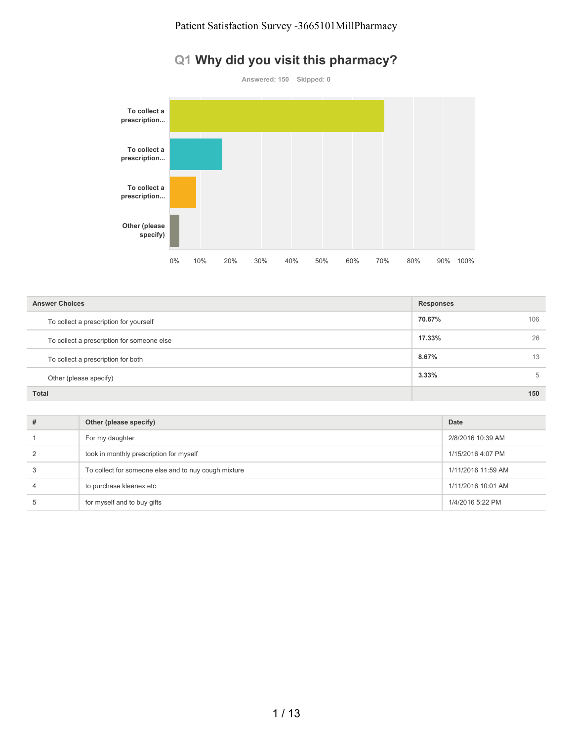## **Q1 Why did you visit this pharmacy?**



| <b>Answer Choices</b>                      | <b>Responses</b> |
|--------------------------------------------|------------------|
| To collect a prescription for yourself     | 70.67%<br>106    |
| To collect a prescription for someone else | 26<br>17.33%     |
| To collect a prescription for both         | 13<br>8.67%      |
| Other (please specify)                     | 3.33%<br>5       |
| <b>Total</b>                               | 150              |

| # | Other (please specify)                               | Date               |
|---|------------------------------------------------------|--------------------|
|   | For my daughter                                      | 2/8/2016 10:39 AM  |
|   | took in monthly prescription for myself              | 1/15/2016 4:07 PM  |
|   | To collect for someone else and to nuy cough mixture | 1/11/2016 11:59 AM |
|   | to purchase kleenex etc                              | 1/11/2016 10:01 AM |
| b | for myself and to buy gifts                          | 1/4/2016 5:22 PM   |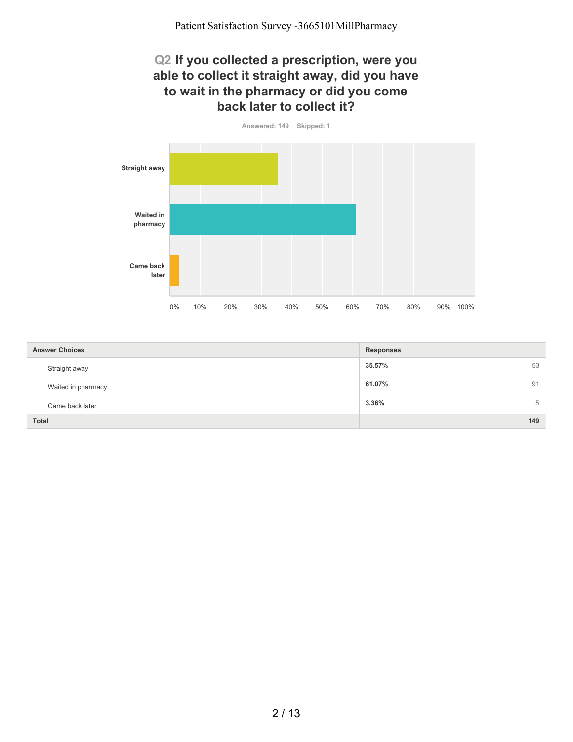#### **Q2 If you collected a prescription, were you able to collect it straight away, did you have to wait in the pharmacy or did you come back later to collect it?**



| <b>Answer Choices</b> | <b>Responses</b> |
|-----------------------|------------------|
| Straight away         | 35.57%<br>53     |
| Waited in pharmacy    | 61.07%<br>91     |
| Came back later       | 5<br>3.36%       |
| <b>Total</b>          | 149              |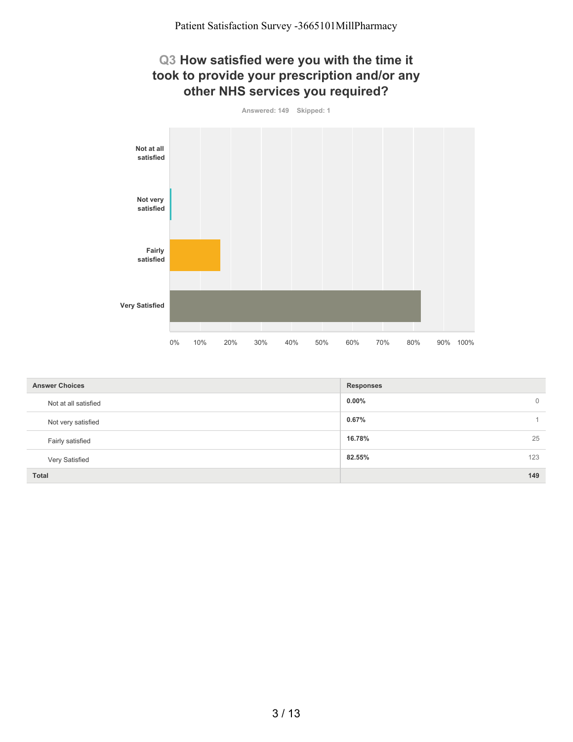### **Q3 How satisfied were you with the time it took to provide your prescription and/or any other NHS services you required?**



| <b>Answer Choices</b> | <b>Responses</b>           |
|-----------------------|----------------------------|
| Not at all satisfied  | $0.00\%$<br>$\overline{0}$ |
| Not very satisfied    | 0.67%                      |
| Fairly satisfied      | 25<br>16.78%               |
| Very Satisfied        | 123<br>82.55%              |
| <b>Total</b>          | 149                        |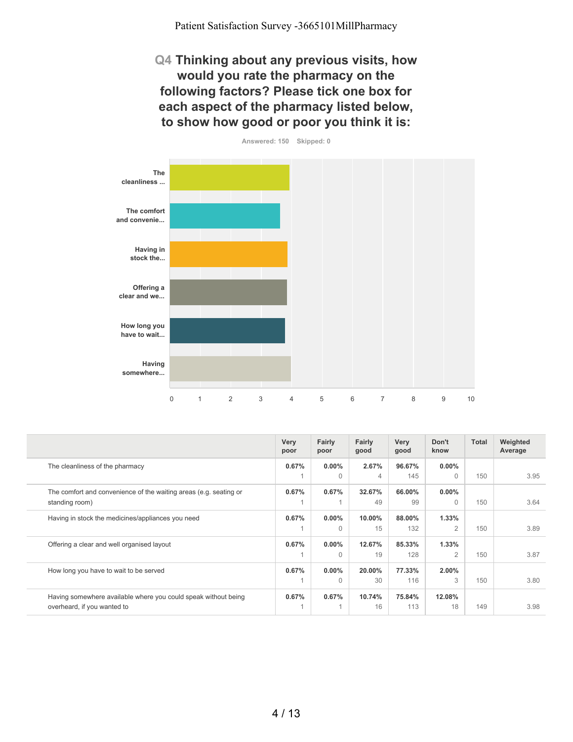Patient Satisfaction Survey -3665101MillPharmacy

**Q4 Thinking about any previous visits, how would you rate the pharmacy on the following factors? Please tick one box for each aspect of the pharmacy listed below, to show how good or poor you think it is:**



|                                                                   | Very<br>poor | Fairly<br>poor | Fairly<br>good | Very<br>good | Don't<br>know  | Total | Weighted<br>Average |
|-------------------------------------------------------------------|--------------|----------------|----------------|--------------|----------------|-------|---------------------|
| The cleanliness of the pharmacy                                   | 0.67%        | $0.00\%$       | 2.67%          | 96.67%       | $0.00\%$       |       |                     |
|                                                                   |              | $\Omega$       | $\overline{4}$ | 145          | $\bigcap$      | 150   | 3.95                |
| The comfort and convenience of the waiting areas (e.g. seating or | 0.67%        | 0.67%          | 32.67%         | 66.00%       | $0.00\%$       |       |                     |
| standing room)                                                    |              |                | 49             | 99           | $\Omega$       | 150   | 3.64                |
| Having in stock the medicines/appliances you need                 | 0.67%        | $0.00\%$       | 10.00%         | 88.00%       | 1.33%          |       |                     |
|                                                                   |              | $\Omega$       | 15             | 132          | $\overline{2}$ | 150   | 3.89                |
| Offering a clear and well organised layout                        | 0.67%        | $0.00\%$       | 12.67%         | 85.33%       | 1.33%          |       |                     |
|                                                                   |              | $\Omega$       | 19             | 128          | $\overline{2}$ | 150   | 3.87                |
| How long you have to wait to be served                            | 0.67%        | $0.00\%$       | 20.00%         | 77.33%       | $2.00\%$       |       |                     |
|                                                                   |              | $\Omega$       | 30             | 116          | 3              | 150   | 3.80                |
| Having somewhere available where you could speak without being    | 0.67%        | 0.67%          | 10.74%         | 75.84%       | 12.08%         |       |                     |
| overheard, if you wanted to                                       |              |                | 16             | 113          | 18             | 149   | 3.98                |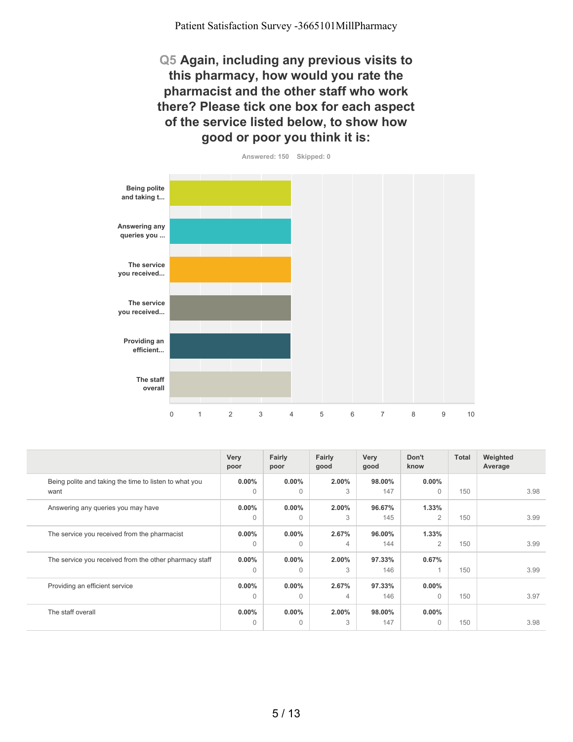**Q5 Again, including any previous visits to this pharmacy, how would you rate the pharmacist and the other staff who work there? Please tick one box for each aspect of the service listed below, to show how good or poor you think it is:**



**0.00%** 0 **0.00%** 0 **2.00%** 3 **98.00%** 147 **0.00%** 0 150 3.98 **0.00%** 0 **0.00%** 0 **2.00%** 3 **96.67%** 145 **1.33%** 2 150 3.99 **0.00%** 0 **0.00%** 0 **2.67%** 4 **96.00%** 144 **1.33%** 2 150 3.99 **0.00%** 0 **0.00%** 0 **2.00%** 3 **97.33%** 146 **0.67%** 1 150 3.99 **0.00%** 0 **0.00%**  $\Omega$ **2.67%** 4 **97.33%** 146 **0.00%** 0 150 3.97 **0.00%**  $\Omega$ **0.00%**  $\Omega$ **2.00%** 3 **98.00%** 147 **0.00%** 0 150 3.98 **Very poor Fairly poor Fairly good Very good Don't know Total Weighted Average** Being polite and taking the time to listen to what you want Answering any queries you may have The service you received from the pharmacist The service you received from the other pharmacy staff Providing an efficient service The staff overall

5 / 13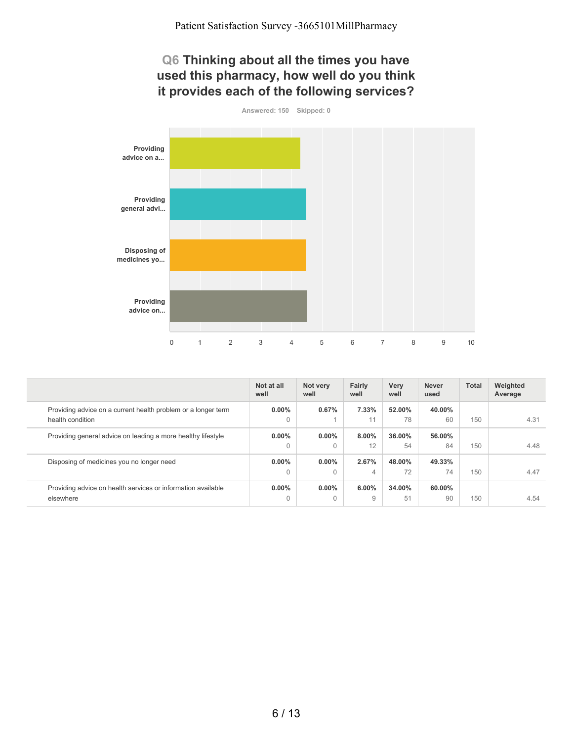#### **Q6 Thinking about all the times you have used this pharmacy, how well do you think it provides each of the following services?**



|                                                                                   | Not at all<br>well   | Not very<br>well     | Fairly<br>well | <b>Very</b><br>well | <b>Never</b><br>used | <b>Total</b> | Weighted<br>Average |
|-----------------------------------------------------------------------------------|----------------------|----------------------|----------------|---------------------|----------------------|--------------|---------------------|
| Providing advice on a current health problem or a longer term<br>health condition | $0.00\%$<br>0        | 0.67%                | 7.33%<br>11    | 52.00%<br>78        | 40.00%<br>60         | 150          | 4.31                |
| Providing general advice on leading a more healthy lifestyle                      | $0.00\%$<br>0        | $0.00\%$<br>$\Omega$ | $8.00\%$<br>12 | 36.00%<br>54        | 56.00%<br>84         | 150          | 4.48                |
| Disposing of medicines you no longer need                                         | $0.00\%$<br>$\Omega$ | $0.00\%$<br>$\Omega$ | 2.67%<br>4     | 48.00%<br>72        | 49.33%<br>74         | 150          | 4.47                |
| Providing advice on health services or information available<br>elsewhere         | $0.00\%$<br>$\Omega$ | $0.00\%$<br>$\Omega$ | 6.00%<br>9     | 34.00%<br>51        | 60.00%<br>90         | 150          | 4.54                |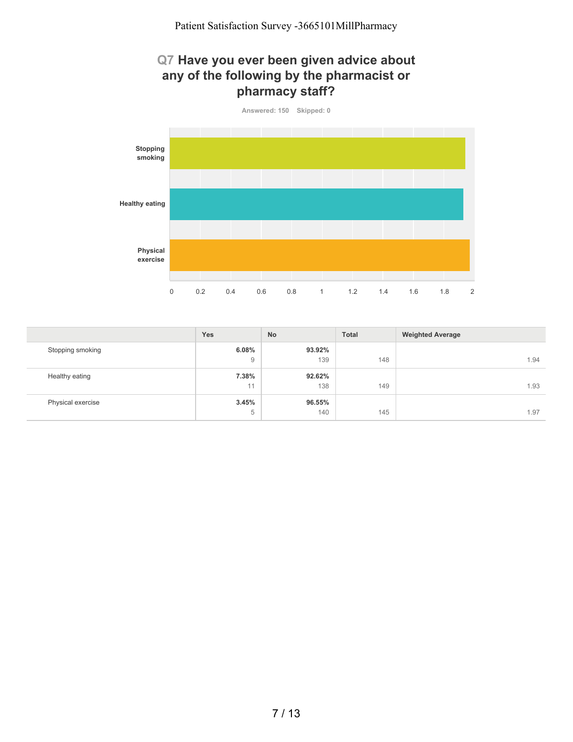### **Q7 Have you ever been given advice about any of the following by the pharmacist or pharmacy staff?**



|                   | <b>Yes</b> | <b>No</b> | <b>Total</b> | <b>Weighted Average</b> |
|-------------------|------------|-----------|--------------|-------------------------|
| Stopping smoking  | 6.08%      | 93.92%    |              |                         |
|                   | 9          | 139       | 148          | 1.94                    |
| Healthy eating    | 7.38%      | 92.62%    |              |                         |
|                   | 11         | 138       | 149          | 1.93                    |
| Physical exercise | 3.45%      | 96.55%    |              |                         |
|                   | 5          | 140       | 145          | 1.97                    |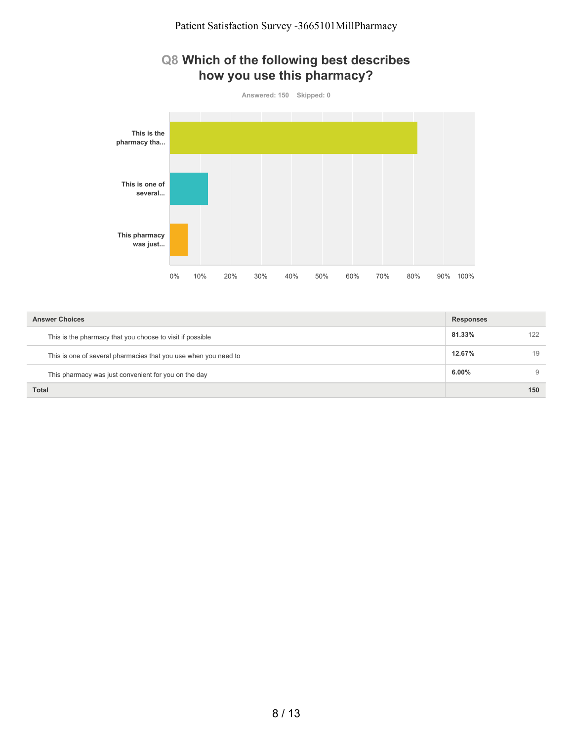### **Q8 Which of the following best describes how you use this pharmacy?**

**Answered: 150 Skipped: 0 This is the pharmacy tha... This is one of several... This pharmacy was just...** 0% 10% 20% 30% 40% 50% 60% 70% 80% 90% 100%

| <b>Answer Choices</b>                                           | <b>Responses</b> |     |
|-----------------------------------------------------------------|------------------|-----|
| This is the pharmacy that you choose to visit if possible       | 81.33%           | 122 |
| This is one of several pharmacies that you use when you need to | 12.67%           | 19  |
| This pharmacy was just convenient for you on the day            | 6.00%            | 9   |
| Total                                                           |                  | 150 |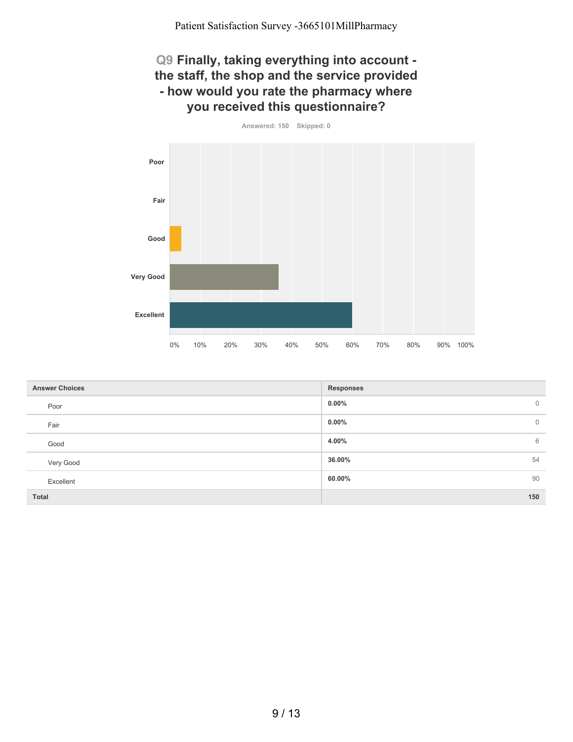### **Q9 Finally, taking everything into account the staff, the shop and the service provided - how would you rate the pharmacy where you received this questionnaire?**



| <b>Answer Choices</b> | <b>Responses</b>           |
|-----------------------|----------------------------|
| Poor                  | $0.00\%$<br>$\overline{0}$ |
| Fair                  | $0.00\%$<br>$\overline{0}$ |
| Good                  | 6<br>4.00%                 |
| Very Good             | 36.00%<br>54               |
| Excellent             | 90<br>60.00%               |
| Total                 | 150                        |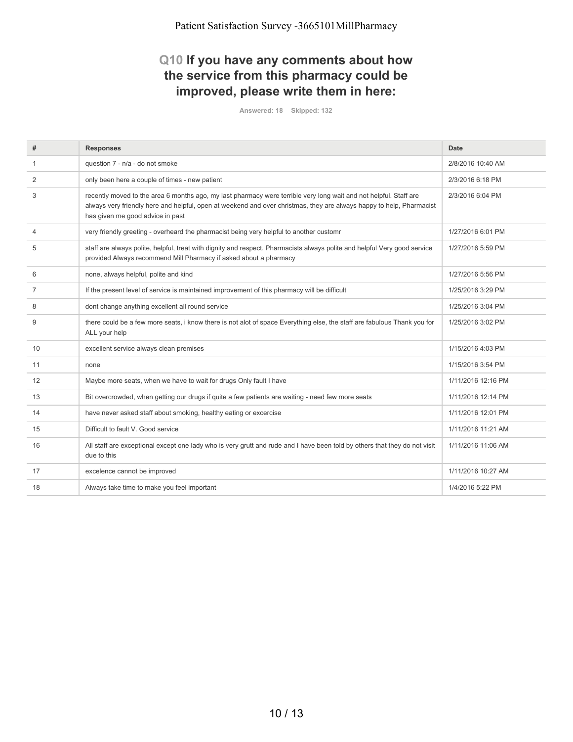## **Q10 If you have any comments about how the service from this pharmacy could be improved, please write them in here:**

| #              | <b>Responses</b>                                                                                                                                                                                                                                                              | Date               |
|----------------|-------------------------------------------------------------------------------------------------------------------------------------------------------------------------------------------------------------------------------------------------------------------------------|--------------------|
|                | question 7 - n/a - do not smoke                                                                                                                                                                                                                                               | 2/8/2016 10:40 AM  |
| 2              | only been here a couple of times - new patient                                                                                                                                                                                                                                | 2/3/2016 6:18 PM   |
| 3              | recently moved to the area 6 months ago, my last pharmacy were terrible very long wait and not helpful. Staff are<br>always very friendly here and helpful, open at weekend and over christmas, they are always happy to help, Pharmacist<br>has given me good advice in past | 2/3/2016 6:04 PM   |
| $\overline{4}$ | very friendly greeting - overheard the pharmacist being very helpful to another customr                                                                                                                                                                                       | 1/27/2016 6:01 PM  |
| 5              | staff are always polite, helpful, treat with dignity and respect. Pharmacists always polite and helpful Very good service<br>provided Always recommend Mill Pharmacy if asked about a pharmacy                                                                                | 1/27/2016 5:59 PM  |
| 6              | none, always helpful, polite and kind                                                                                                                                                                                                                                         | 1/27/2016 5:56 PM  |
| $\overline{7}$ | If the present level of service is maintained improvement of this pharmacy will be difficult                                                                                                                                                                                  | 1/25/2016 3:29 PM  |
| 8              | dont change anything excellent all round service                                                                                                                                                                                                                              | 1/25/2016 3:04 PM  |
| 9              | there could be a few more seats, i know there is not alot of space Everything else, the staff are fabulous Thank you for<br>ALL your help                                                                                                                                     | 1/25/2016 3:02 PM  |
| 10             | excellent service always clean premises                                                                                                                                                                                                                                       | 1/15/2016 4:03 PM  |
| 11             | none                                                                                                                                                                                                                                                                          | 1/15/2016 3:54 PM  |
| 12             | Maybe more seats, when we have to wait for drugs Only fault I have                                                                                                                                                                                                            | 1/11/2016 12:16 PM |
| 13             | Bit overcrowded, when getting our drugs if quite a few patients are waiting - need few more seats                                                                                                                                                                             | 1/11/2016 12:14 PM |
| 14             | have never asked staff about smoking, healthy eating or excercise                                                                                                                                                                                                             | 1/11/2016 12:01 PM |
| 15             | Difficult to fault V. Good service                                                                                                                                                                                                                                            | 1/11/2016 11:21 AM |
| 16             | All staff are exceptional except one lady who is very grutt and rude and I have been told by others that they do not visit<br>due to this                                                                                                                                     | 1/11/2016 11:06 AM |
| 17             | excelence cannot be improved                                                                                                                                                                                                                                                  | 1/11/2016 10:27 AM |
| 18             | Always take time to make you feel important                                                                                                                                                                                                                                   | 1/4/2016 5:22 PM   |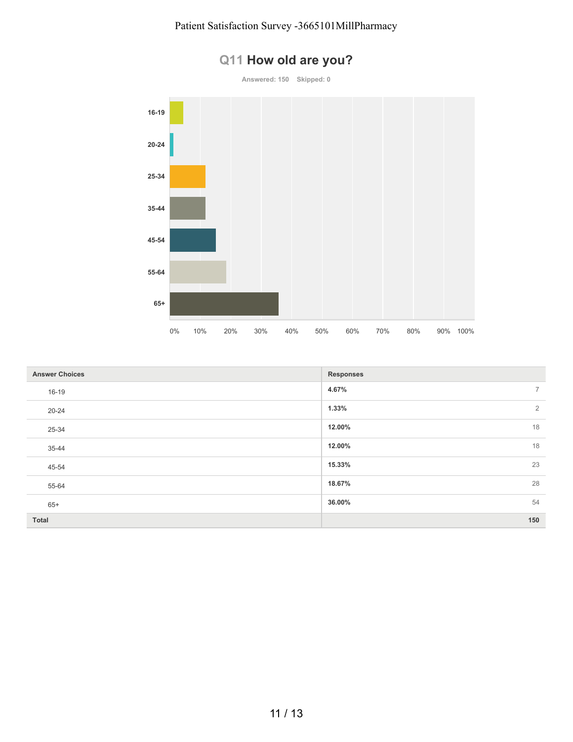

| <b>Answer Choices</b> | <b>Responses</b>        |
|-----------------------|-------------------------|
| 16-19                 | 4.67%<br>$\overline{7}$ |
| $20 - 24$             | 1.33%<br>$\overline{2}$ |
| 25-34                 | 18<br>12.00%            |
| 35-44                 | 18<br>12.00%            |
| 45-54                 | 23<br>15.33%            |
| 55-64                 | 28<br>18.67%            |
| $65+$                 | 54<br>36.00%            |
| Total                 | 150                     |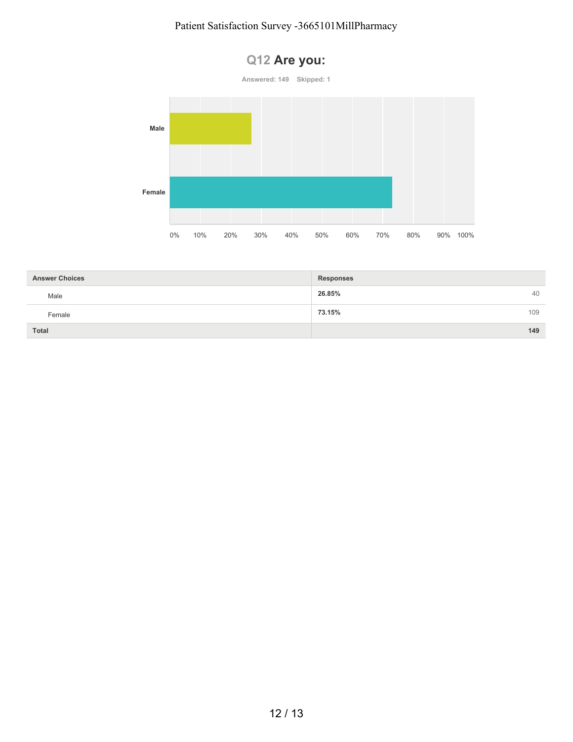#### Patient Satisfaction Survey -3665101MillPharmacy

**Q12 Are you:**



| <b>Answer Choices</b> | <b>Responses</b> |     |
|-----------------------|------------------|-----|
| Male                  | 26.85%           | 40  |
| Female                | 73.15%           | 109 |
| Total                 |                  | 149 |